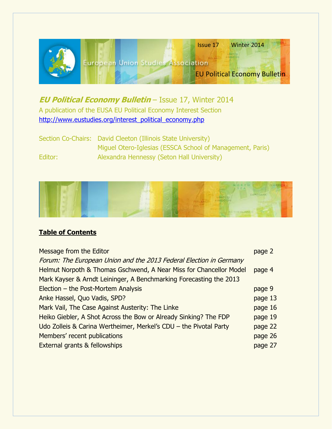

# **EU Political Economy Bulletin** – Issue 17, Winter 2014 A publication of the EUSA EU Political Economy Interest Section [http://www.eustudies.org/interest\\_political\\_economy.php](http://www.eustudies.org/interest_political_economy.php)

Section Co-Chairs: David Cleeton (Illinois State University) Miguel Otero-Iglesias (ESSCA School of Management, Paris) Editor: Alexandra Hennessy (Seton Hall University)



# **Table of Contents**

| Message from the Editor                                            | page 2  |
|--------------------------------------------------------------------|---------|
| Forum: The European Union and the 2013 Federal Election in Germany |         |
| Helmut Norpoth & Thomas Gschwend, A Near Miss for Chancellor Model | page 4  |
| Mark Kayser & Arndt Leininger, A Benchmarking Forecasting the 2013 |         |
| Election - the Post-Mortem Analysis                                | page 9  |
| Anke Hassel, Quo Vadis, SPD?                                       | page 13 |
| Mark Vail, The Case Against Austerity: The Linke                   | page 16 |
| Heiko Giebler, A Shot Across the Bow or Already Sinking? The FDP   | page 19 |
| Udo Zolleis & Carina Wertheimer, Merkel's CDU - the Pivotal Party  | page 22 |
| Members' recent publications                                       | page 26 |
| <b>External grants &amp; fellowships</b>                           | page 27 |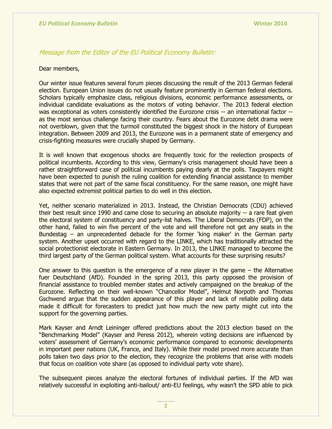## Message from the Editor of the EU Political Economy Bulletin:

#### Dear members,

Our winter issue features several forum pieces discussing the result of the 2013 German federal election. European Union issues do not usually feature prominently in German federal elections. Scholars typically emphasize class, religious divisions, economic performance assessments, or individual candidate evaluations as the motors of voting behavior. The 2013 federal election was exceptional as voters consistently identified the Eurozone crisis -- an international factor -as the most serious challenge facing their country. Fears about the Eurozone debt drama were not overblown, given that the turmoil constituted the biggest shock in the history of European integration. Between 2009 and 2013, the Eurozone was in a permanent state of emergency and crisis-fighting measures were crucially shaped by Germany.

It is well known that exogenous shocks are frequently toxic for the reelection prospects of political incumbents. According to this view, Germany's crisis management should have been a rather straightforward case of political incumbents paying dearly at the polls. Taxpayers might have been expected to punish the ruling coalition for extending financial assistance to member states that were not part of the same fiscal constituency. For the same reason, one might have also expected extremist political parties to do well in this election.

Yet, neither scenario materialized in 2013. Instead, the Christian Democrats (CDU) achieved their best result since 1990 and came close to securing an absolute majority -- a rare feat given the electoral system of constituency and party-list halves. The Liberal Democrats (FDP), on the other hand, failed to win five percent of the vote and will therefore not get any seats in the Bundestag – an unprecedented debacle for the former 'king maker' in the German party system. Another upset occurred with regard to the LINKE, which has traditionally attracted the social protectionist electorate in Eastern Germany. In 2013, the LINKE managed to become the third largest party of the German political system. What accounts for these surprising results?

One answer to this question is the emergence of a new player in the game – the Alternative fuer Deutschland (AfD). Founded in the spring 2013, this party opposed the provision of financial assistance to troubled member states and actively campaigned on the breakup of the Eurozone. Reflecting on their well-known "Chancellor Model", Helmut Norpoth and Thomas Gschwend argue that the sudden appearance of this player and lack of reliable polling data made it difficult for forecasters to predict just how much the new party might cut into the support for the governing parties.

Mark Kayser and Arndt Leininger offered predictions about the 2013 election based on the "Benchmarking Model" (Kayser and Peress 2012), wherein voting decisions are influenced by voters' assessment of Germany's economic performance compared to economic developments in important peer nations (UK, France, and Italy). While their model proved more accurate than polls taken two days prior to the election, they recognize the problems that arise with models that focus on coalition vote share (as opposed to individual party vote share).

The subsequent pieces analyze the electoral fortunes of individual parties. If the AfD was relatively successful in exploiting anti-bailout/ anti-EU feelings, why wasn't the SPD able to pick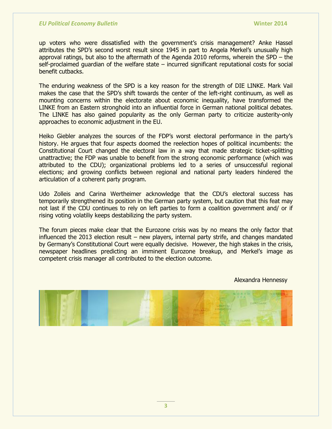up voters who were dissatisfied with the government"s crisis management? Anke Hassel attributes the SPD"s second worst result since 1945 in part to Angela Merkel"s unusually high approval ratings, but also to the aftermath of the Agenda 2010 reforms, wherein the SPD – the self-proclaimed guardian of the welfare state – incurred significant reputational costs for social benefit cutbacks.

The enduring weakness of the SPD is a key reason for the strength of DIE LINKE. Mark Vail makes the case that the SPD's shift towards the center of the left-right continuum, as well as mounting concerns within the electorate about economic inequality, have transformed the LINKE from an Eastern stronghold into an influential force in German national political debates. The LINKE has also gained popularity as the only German party to criticize austerity-only approaches to economic adjustment in the EU.

Heiko Giebler analyzes the sources of the FDP's worst electoral performance in the party's history. He argues that four aspects doomed the reelection hopes of political incumbents: the Constitutional Court changed the electoral law in a way that made strategic ticket-splitting unattractive; the FDP was unable to benefit from the strong economic performance (which was attributed to the CDU); organizational problems led to a series of unsuccessful regional elections; and growing conflicts between regional and national party leaders hindered the articulation of a coherent party program.

Udo Zolleis and Carina Wertheimer acknowledge that the CDU"s electoral success has temporarily strengthened its position in the German party system, but caution that this feat may not last if the CDU continues to rely on left parties to form a coalition government and/ or if rising voting volatiliy keeps destabilizing the party system.

The forum pieces make clear that the Eurozone crisis was by no means the only factor that influenced the 2013 election result – new players, internal party strife, and changes mandated by Germany's Constitutional Court were equally decisive. However, the high stakes in the crisis, newspaper headlines predicting an imminent Eurozone breakup, and Merkel's image as competent crisis manager all contributed to the election outcome.

Alexandra Hennessy



**3**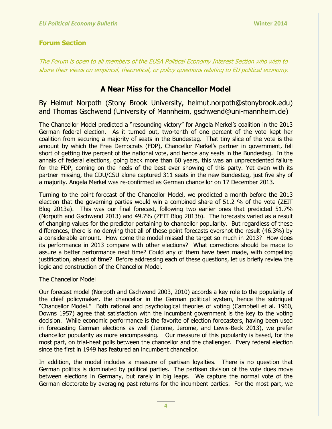# **Forum Section**

The Forum is open to all members of the EUSA Political Economy Interest Section who wish to share their views on empirical, theoretical, or policy questions relating to EU political economy.

# **A Near Miss for the Chancellor Model**

By Helmut Norpoth (Stony Brook University, helmut.norpoth@stonybrook.edu) and Thomas Gschwend (University of Mannheim, gschwend@uni-mannheim.de)

The Chancellor Model predicted a "resounding victory" for Angela Merkel"s coalition in the 2013 German federal election. As it turned out, two-tenth of one percent of the vote kept her coalition from securing a majority of seats in the Bundestag. That tiny slice of the vote is the amount by which the Free Democrats (FDP), Chancellor Merkel's partner in government, fell short of getting five percent of the national vote, and hence any seats in the Bundestag. In the annals of federal elections, going back more than 60 years, this was an unprecedented failure for the FDP, coming on the heels of the best ever showing of this party. Yet even with its partner missing, the CDU/CSU alone captured 311 seats in the new Bundestag, just five shy of a majority. Angela Merkel was re-confirmed as German chancellor on 17 December 2013.

Turning to the point forecast of the Chancellor Model, we predicted a month before the 2013 election that the governing parties would win a combined share of 51.2 % of the vote (ZEIT Blog 2013a). This was our final forecast, following two earlier ones that predicted 51.7% (Norpoth and Gschwend 2013) and 49.7% (ZEIT Blog 2013b). The forecasts varied as a result of changing values for the predictor pertaining to chancellor popularity. But regardless of these differences, there is no denying that all of these point forecasts overshot the result (46.3%) by a considerable amount. How come the model missed the target so much in 2013? How does its performance in 2013 compare with other elections? What corrections should be made to assure a better performance next time? Could any of them have been made, with compelling justification, ahead of time? Before addressing each of these questions, let us briefly review the logic and construction of the Chancellor Model.

## The Chancellor Model

Our forecast model (Norpoth and Gschwend 2003, 2010) accords a key role to the popularity of the chief policymaker, the chancellor in the German political system, hence the sobriquet "Chancellor Model." Both rational and psychological theories of voting (Campbell et al. 1960, Downs 1957) agree that satisfaction with the incumbent government is the key to the voting decision. While economic performance is the favorite of election forecasters, having been used in forecasting German elections as well (Jerome, Jerome, and Lewis-Beck 2013), we prefer chancellor popularity as more encompassing. Our measure of this popularity is based, for the most part, on trial-heat polls between the chancellor and the challenger. Every federal election since the first in 1949 has featured an incumbent chancellor.

In addition, the model includes a measure of partisan loyalties. There is no question that German politics is dominated by political parties. The partisan division of the vote does move between elections in Germany, but rarely in big leaps. We capture the normal vote of the German electorate by averaging past returns for the incumbent parties. For the most part, we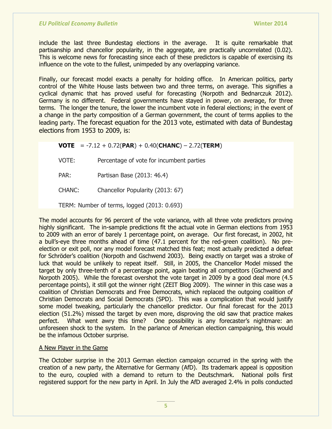include the last three Bundestag elections in the average. It is quite remarkable that partisanship and chancellor popularity, in the aggregate, are practically uncorrelated (0.02). This is welcome news for forecasting since each of these predictors is capable of exercising its influence on the vote to the fullest, unimpeded by any overlapping variance.

Finally, our forecast model exacts a penalty for holding office. In American politics, party control of the White House lasts between two and three terms, on average. This signifies a cyclical dynamic that has proved useful for forecasting (Norpoth and Bednarczuk 2012). Germany is no different. Federal governments have stayed in power, on average, for three terms. The longer the tenure, the lower the incumbent vote in federal elections; in the event of a change in the party composition of a German government, the count of terms applies to the leading party. The forecast equation for the 2013 vote, estimated with data of Bundestag elections from 1953 to 2009, is:

**VOTE** = -7.12 + 0.72(**PAR**) + 0.40(**CHANC**) – 2.72(**TERM**)

VOTE: Percentage of vote for incumbent parties

PAR: Partisan Base (2013: 46.4)

CHANC: Chancellor Popularity (2013: 67)

TERM: Number of terms, logged (2013: 0.693)

The model accounts for 96 percent of the vote variance, with all three vote predictors proving highly significant. The in-sample predictions fit the actual vote in German elections from 1953 to 2009 with an error of barely 1 percentage point, on average. Our first forecast, in 2002, hit a bull"s-eye three months ahead of time (47.1 percent for the red-green coalition). No preelection or exit poll, nor any model forecast matched this feat; most actually predicted a defeat for Schröder"s coalition (Norpoth and Gschwend 2003). Being exactly on target was a stroke of luck that would be unlikely to repeat itself. Still, in 2005, the Chancellor Model missed the target by only three-tenth of a percentage point, again beating all competitors (Gschwend and Norpoth 2005). While the forecast overshot the vote target in 2009 by a good deal more (4.5 percentage points), it still got the winner right (ZEIT Blog 2009). The winner in this case was a coalition of Christian Democrats and Free Democrats, which replaced the outgoing coalition of Christian Democrats and Social Democrats (SPD). This was a complication that would justify some model tweaking, particularly the chancellor predictor. Our final forecast for the 2013 election (51.2%) missed the target by even more, disproving the old saw that practice makes perfect. What went awry this time? One possibility is any forecaster's nightmare: an unforeseen shock to the system. In the parlance of American election campaigning, this would be the infamous October surprise.

## A New Player in the Game

The October surprise in the 2013 German election campaign occurred in the spring with the creation of a new party, the Alternative for Germany (AfD). Its trademark appeal is opposition to the euro, coupled with a demand to return to the Deutschmark. National polls first registered support for the new party in April. In July the AfD averaged 2.4% in polls conducted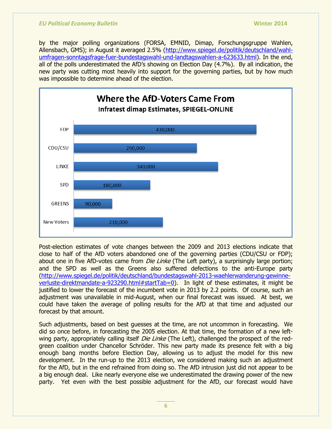by the major polling organizations (FORSA, EMNID, Dimap, Forschungsgruppe Wahlen, Allensbach, GMS); in August it averaged 2.5% [\(http://www.spiegel.de/politik/deutschland/wahl](http://www.spiegel.de/politik/deutschland/wahl-umfragen-sonntagsfrage-fuer-bundestagswahl-und-landtagswahlen-a-623633.html)[umfragen-sonntagsfrage-fuer-bundestagswahl-und-landtagswahlen-a-623633.html\)](http://www.spiegel.de/politik/deutschland/wahl-umfragen-sonntagsfrage-fuer-bundestagswahl-und-landtagswahlen-a-623633.html). In the end, all of the polls underestimated the AfD's showing on Election Day (4.7%). By all indication, the new party was cutting most heavily into support for the governing parties, but by how much was impossible to determine ahead of the election.



Post-election estimates of vote changes between the 2009 and 2013 elections indicate that close to half of the AfD voters abandoned one of the governing parties (CDU/CSU or FDP); about one in five AfD-votes came from *Die Linke* (The Left party), a surprisingly large portion; and the SPD as well as the Greens also suffered defections to the anti-Europe party [\(http://www.spiegel.de/politik/deutschland/bundestagswahl-2013-waehlerwanderung-gewinne](http://www.spiegel.de/politik/deutschland/bundestagswahl-2013-waehlerwanderung-gewinne-verluste-direktmandate-a-923290.html#startTab=0)[verluste-direktmandate-a-923290.html#startTab=0\)](http://www.spiegel.de/politik/deutschland/bundestagswahl-2013-waehlerwanderung-gewinne-verluste-direktmandate-a-923290.html#startTab=0). In light of these estimates, it might be justified to lower the forecast of the incumbent vote in 2013 by 2.2 points. Of course, such an adjustment was unavailable in mid-August, when our final forecast was issued. At best, we could have taken the average of polling results for the AfD at that time and adjusted our forecast by that amount.

Such adjustments, based on best guesses at the time, are not uncommon in forecasting. We did so once before, in forecasting the 2005 election. At that time, the formation of a new leftwing party, appropriately calling itself *Die Linke* (The Left), challenged the prospect of the redgreen coalition under Chancellor Schröder. This new party made its presence felt with a big enough bang months before Election Day, allowing us to adjust the model for this new development. In the run-up to the 2013 election, we considered making such an adjustment for the AfD, but in the end refrained from doing so. The AfD intrusion just did not appear to be a big enough deal. Like nearly everyone else we underestimated the drawing power of the new party. Yet even with the best possible adjustment for the AfD, our forecast would have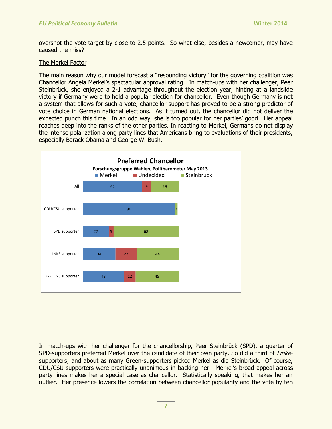overshot the vote target by close to 2.5 points. So what else, besides a newcomer, may have caused the miss?

#### The Merkel Factor

The main reason why our model forecast a "resounding victory" for the governing coalition was Chancellor Angela Merkel"s spectacular approval rating. In match-ups with her challenger, Peer Steinbrück, she enjoyed a 2-1 advantage throughout the election year, hinting at a landslide victory if Germany were to hold a popular election for chancellor. Even though Germany is not a system that allows for such a vote, chancellor support has proved to be a strong predictor of vote choice in German national elections. As it turned out, the chancellor did not deliver the expected punch this time. In an odd way, she is too popular for her parties" good. Her appeal reaches deep into the ranks of the other parties. In reacting to Merkel, Germans do not display the intense polarization along party lines that Americans bring to evaluations of their presidents, especially Barack Obama and George W. Bush.



In match-ups with her challenger for the chancellorship, Peer Steinbrück (SPD), a quarter of SPD-supporters preferred Merkel over the candidate of their own party. So did a third of Linkesupporters; and about as many Green-supporters picked Merkel as did Steinbrück. Of course, CDU/CSU-supporters were practically unanimous in backing her. Merkel"s broad appeal across party lines makes her a special case as chancellor. Statistically speaking, that makes her an outlier. Her presence lowers the correlation between chancellor popularity and the vote by ten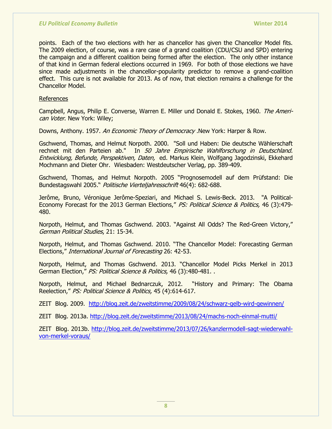points. Each of the two elections with her as chancellor has given the Chancellor Model fits. The 2009 election, of course, was a rare case of a grand coalition (CDU/CSU and SPD) entering the campaign and a different coalition being formed after the election. The only other instance of that kind in German federal elections occurred in 1969. For both of those elections we have since made adjustments in the chancellor-popularity predictor to remove a grand-coalition effect. This cure is not available for 2013. As of now, that election remains a challenge for the Chancellor Model.

#### References

Campbell, Angus, Philip E. Converse, Warren E. Miller und Donald E. Stokes, 1960. The American Voter. New York: Wiley;

Downs, Anthony. 1957. An Economic Theory of Democracy .New York: Harper & Row.

Gschwend, Thomas, and Helmut Norpoth. 2000. "Soll und Haben: Die deutsche Wählerschaft rechnet mit den Parteien ab." In 50 Jahre Empirische Wahlforschung in Deutschland. Entwicklung, Befunde, Perspektiven, Daten, ed. Markus Klein, Wolfgang Jagodzinski, Ekkehard Mochmann and Dieter Ohr. Wiesbaden: Westdeutscher Verlag, pp. 389-409.

Gschwend, Thomas, and Helmut Norpoth. 2005 "Prognosemodell auf dem Prüfstand: Die Bundestagswahl 2005." Politische Vierteljahresschrift 46(4): 682-688.

Jerôme, Bruno, Véronique Jerôme-Speziari, and Michael S. Lewis-Beck. 2013. "A Political-Economy Forecast for the 2013 German Elections," PS: Political Science & Politics, 46 (3):479-480.

Norpoth, Helmut, and Thomas Gschwend. 2003. "Against All Odds? The Red-Green Victory," German Political Studies, 21: 15-34.

Norpoth, Helmut, and Thomas Gschwend. 2010. "The Chancellor Model: Forecasting German Elections," International Journal of Forecasting 26: 42-53.

Norpoth, Helmut, and Thomas Gschwend. 2013. "Chancellor Model Picks Merkel in 2013 German Election," PS: Political Science & Politics, 46 (3):480-481. .

Norpoth, Helmut, and Michael Bednarczuk, 2012. "History and Primary: The Obama Reelection," PS: Political Science & Politics, 45 (4):614-617.

ZEIT Blog. 2009. <http://blog.zeit.de/zweitstimme/2009/08/24/schwarz-gelb-wird-gewinnen/>

ZEIT Blog. 2013a.<http://blog.zeit.de/zweitstimme/2013/08/24/machs-noch-einmal-mutti/>

ZEIT Blog. 2013b. [http://blog.zeit.de/zweitstimme/2013/07/26/kanzlermodell-sagt-wiederwahl](http://blog.zeit.de/zweitstimme/2013/07/26/kanzlermodell-sagt-wiederwahl-von-merkel-voraus/)[von-merkel-voraus/](http://blog.zeit.de/zweitstimme/2013/07/26/kanzlermodell-sagt-wiederwahl-von-merkel-voraus/)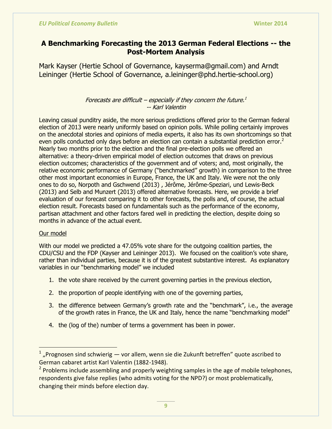# **A Benchmarking Forecasting the 2013 German Federal Elections -- the Post-Mortem Analysis**

Mark Kayser (Hertie School of Governance, kayserma@gmail.com) and Arndt Leininger (Hertie School of Governance, a.leininger@phd.hertie-school.org)

## Forecasts are difficult – especially if they concern the future. $^1$ -- Karl Valentin

Leaving casual punditry aside, the more serious predictions offered prior to the German federal election of 2013 were nearly uniformly based on opinion polls. While polling certainly improves on the anecdotal stories and opinions of media experts, it also has its own shortcomings so that even polls conducted only days before an election can contain a substantial prediction error.<sup>2</sup> Nearly two months prior to the election and the final pre-election polls we offered an alternative: a theory-driven empirical model of election outcomes that draws on previous election outcomes; characteristics of the government and of voters; and, most originally, the relative economic performance of Germany ("benchmarked" growth) in comparison to the three other most important economies in Europe, France, the UK and Italy. We were not the only ones to do so, Norpoth and Gschwend (2013) , Jérôme, Jérôme-Speziari, und Lewis-Beck (2013) and Selb and Munzert (2013) offered alternative forecasts. Here, we provide a brief evaluation of our forecast comparing it to other forecasts, the polls and, of course, the actual election result. Forecasts based on fundamentals such as the performance of the economy, partisan attachment and other factors fared well in predicting the election, despite doing so months in advance of the actual event.

## Our model

With our model we predicted a 47.05% vote share for the outgoing coalition parties, the CDU/CSU and the FDP (Kayser and Leininger 2013). We focused on the coalition"s vote share, rather than individual parties, because it is of the greatest substantive interest. As explanatory variables in our "benchmarking model" we included

- 1. the vote share received by the current governing parties in the previous election,
- 2. the proportion of people identifying with one of the governing parties,
- 3. the difference between Germany"s growth rate and the "benchmark", i.e., the average of the growth rates in France, the UK and Italy, hence the name "benchmarking model"
- 4. the (log of the) number of terms a government has been in power.

 $1$  "Prognosen sind schwierig — vor allem, wenn sie die Zukunft betreffen" quote ascribed to German cabaret artist Karl Valentin (1882-1948).

<sup>&</sup>lt;sup>2</sup> Problems include assembling and properly weighting samples in the age of mobile telephones, respondents give false replies (who admits voting for the NPD?) or most problematically, changing their minds before election day.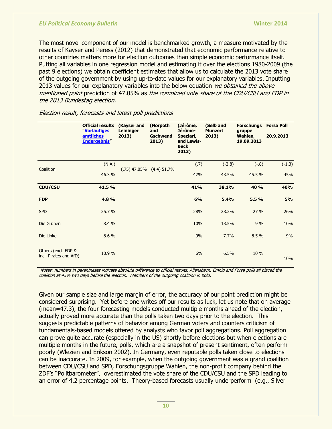The most novel component of our model is benchmarked growth, a measure motivated by the results of Kayser and Peress (2012) that demonstrated that economic performance relative to other countries matters more for election outcomes than simple economic performance itself. Putting all variables in one regression model and estimating it over the elections 1980-2009 (the past 9 elections) we obtain coefficient estimates that allow us to calculate the 2013 vote share of the outgoing government by using up-to-date values for our explanatory variables. Inputting 2013 values for our explanatory variables into the below equation we obtained the above mentioned point prediction of 47.05% as the combined vote share of the CDU/CSU and FDP in the 2013 Bundestag election.

|                                               | <b>Official results</b><br>"Vorläufiges<br><b>amtliches</b><br><b>Endergebnis"</b> | (Kayser and<br><b>Leininger</b><br>2013) | (Norpoth<br>and<br><b>Gschwend</b><br>2013) | (Jérôme,<br>Jérôme-<br>Speziari,<br>and Lewis-<br><b>Beck</b><br>2013) | (Selb and<br><b>Munzert</b><br>2013) | <b>Forschungs</b><br>gruppe<br>Wahlen,<br>19.09.2013 | <b>Forsa Poll</b><br>20.9.2013 |
|-----------------------------------------------|------------------------------------------------------------------------------------|------------------------------------------|---------------------------------------------|------------------------------------------------------------------------|--------------------------------------|------------------------------------------------------|--------------------------------|
| Coalition                                     | (N.A.)<br>46.3 %                                                                   | $(0.75)$ 47.05% $(4.4)$ 51.7%            |                                             | (.7)<br>47%                                                            | $(-2.8)$<br>43.5%                    | $(-.8)$<br>45.5 %                                    | $(-1.3)$<br>45%                |
| <b>CDU/CSU</b>                                | 41.5 %                                                                             |                                          |                                             | 41%                                                                    | 38.1%                                | 40 %                                                 | 40%                            |
| <b>FDP</b>                                    | 4.8%                                                                               |                                          |                                             | 6%                                                                     | 5.4%                                 | 5.5%                                                 | 5%                             |
| <b>SPD</b>                                    | 25.7 %                                                                             |                                          |                                             | 28%                                                                    | 28.2%                                | 27%                                                  | 26%                            |
| Die Grünen                                    | 8.4%                                                                               |                                          |                                             | 10%                                                                    | 13.5%                                | 9%                                                   | 10%                            |
| Die Linke                                     | 8.6%                                                                               |                                          |                                             | 9%                                                                     | 7.7%                                 | 8.5 %                                                | 9%                             |
| Others (excl. FDP &<br>incl. Pirates and AfD) | 10.9 %                                                                             |                                          |                                             | 6%                                                                     | 6.5%                                 | 10 %                                                 | 10%                            |

Election result, forecasts and latest poll predictions

Notes: numbers in parentheses indicate absolute difference to official results. Allensbach, Emnid and Forsa polls all placed the coalition at 45% two days before the election. Members of the outgoing coalition in bold.

Given our sample size and large margin of error, the accuracy of our point prediction might be considered surprising. Yet before one writes off our results as luck, let us note that on average (mean=47.3), the four forecasting models conducted multiple months ahead of the election, actually proved more accurate than the polls taken two days prior to the election. This suggests predictable patterns of behavior among German voters and counters criticism of fundamentals-based models offered by analysts who favor poll aggregations. Poll aggregation can prove quite accurate (especially in the US) shortly before elections but when elections are multiple months in the future, polls, which are a snapshot of present sentiment, often perform poorly (Wlezien and Erikson 2002). In Germany, even reputable polls taken close to elections can be inaccurate. In 2009, for example, when the outgoing government was a grand coalition between CDU/CSU and SPD, Forschungsgruppe Wahlen, the non-profit company behind the ZDF"s "Politbarometer", overestimated the vote share of the CDU/CSU and the SPD leading to an error of 4.2 percentage points. Theory-based forecasts usually underperform (e.g., Silver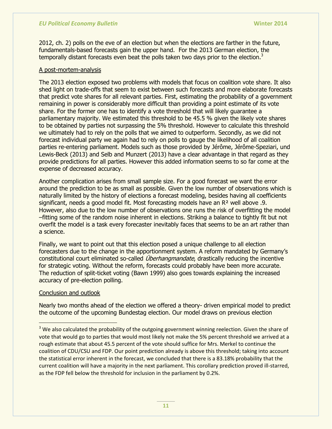2012, ch. 2) polls on the eve of an election but when the elections are farther in the future, fundamentals-based forecasts gain the upper hand. For the 2013 German election, the temporally distant forecasts even beat the polls taken two days prior to the election. $3$ 

### A post-mortem-analysis

The 2013 election exposed two problems with models that focus on coalition vote share. It also shed light on trade-offs that seem to exist between such forecasts and more elaborate forecasts that predict vote shares for all relevant parties. First, estimating the probability of a government remaining in power is considerably more difficult than providing a point estimate of its vote share. For the former one has to identify a vote threshold that will likely guarantee a parliamentary majority. We estimated this threshold to be 45.5 % given the likely vote shares to be obtained by parties not surpassing the 5% threshold. However to calculate this threshold we ultimately had to rely on the polls that we aimed to outperform. Secondly, as we did not forecast individual party we again had to rely on polls to gauge the likelihood of all coalition parties re-entering parliament. Models such as those provided by Jérôme, Jérôme-Speziari, und Lewis-Beck (2013) and Selb and Munzert (2013) have a clear advantage in that regard as they provide predictions for all parties. However this added information seems to so far come at the expense of decreased accuracy.

Another complication arises from small sample size. For a good forecast we want the error around the prediction to be as small as possible. Given the low number of observations which is naturally limited by the history of elections a forecast modeling, besides having all coefficients significant, needs a good model fit. Most forecasting models have an R² well above .9. However, also due to the low number of observations one runs the risk of overfitting the model –fitting some of the random noise inherent in elections. Striking a balance to tightly fit but not overfit the model is a task every forecaster inevitably faces that seems to be an art rather than a science.

Finally, we want to point out that this election posed a unique challenge to all election forecasters due to the change in the apportionment system. A reform mandated by Germany"s constitutional court eliminated so-called *Überhangmandate*, drastically reducing the incentive for strategic voting. Without the reform, forecasts could probably have been more accurate. The reduction of split-ticket voting (Bawn 1999) also goes towards explaining the increased accuracy of pre-election polling.

## Conclusion and outlook

 $\overline{a}$ 

Nearly two months ahead of the election we offered a theory- driven empirical model to predict the outcome of the upcoming Bundestag election. Our model draws on previous election

<sup>&</sup>lt;sup>3</sup> We also calculated the probability of the outgoing government winning reelection. Given the share of vote that would go to parties that would most likely not make the 5% percent threshold we arrived at a rough estimate that about 45.5 percent of the vote should suffice for Mrs. Merkel to continue the coalition of CDU/CSU and FDP. Our point prediction already is above this threshold; taking into account the statistical error inherent in the forecast, we concluded that there is a 83.18% probability that the current coalition will have a majority in the next parliament. This corollary prediction proved ill-starred, as the FDP fell below the threshold for inclusion in the parliament by 0.2%.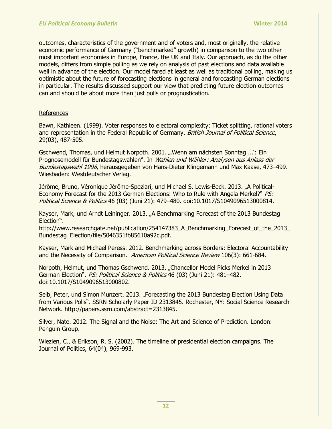outcomes, characteristics of the government and of voters and, most originally, the relative economic performance of Germany ("benchmarked" growth) in comparison to the two other most important economies in Europe, France, the UK and Italy. Our approach, as do the other models, differs from simple polling as we rely on analysis of past elections and data available well in advance of the election. Our model fared at least as well as traditional polling, making us optimistic about the future of forecasting elections in general and forecasting German elections in particular. The results discussed support our view that predicting future election outcomes can and should be about more than just polls or prognostication.

### References

Bawn, Kathleen. (1999). Voter responses to electoral complexity: Ticket splitting, rational voters and representation in the Federal Republic of Germany. British Journal of Political Science, 29(03), 487-505.

Gschwend, Thomas, und Helmut Norpoth. 2001. "Wenn am nächsten Sonntag ...': Ein Prognosemodell für Bundestagswahlen". In Wahlen und Wähler: Analysen aus Anlass der Bundestagswahl 1998, herausgegeben von Hans-Dieter Klingemann und Max Kaase, 473–499. Wiesbaden: Westdeutscher Verlag.

Jérôme, Bruno, Véronique Jérôme-Speziari, und Michael S. Lewis-Beck. 2013. "A Political-Economy Forecast for the 2013 German Elections: Who to Rule with Angela Merkel?" *PS:* Political Science & Politics 46 (03) (Juni 21): 479–480. doi:10.1017/S1049096513000814.

Kayser, Mark, und Arndt Leininger. 2013. "A Benchmarking Forecast of the 2013 Bundestag Election".

http://www.researchgate.net/publication/254147383 A Benchmarking Forecast of the 2013 Bundestag\_Election/file/5046351fb85610a92c.pdf.

Kayser, Mark and Michael Peress. 2012. Benchmarking across Borders: Electoral Accountability and the Necessity of Comparison. American Political Science Review 106(3): 661-684.

Norpoth, Helmut, und Thomas Gschwend. 2013. "Chancellor Model Picks Merkel in 2013 German Election". PS: Political Science & Politics 46 (03) (Juni 21): 481-482. doi:10.1017/S1049096513000802.

Selb, Peter, und Simon Munzert. 2013. "Forecasting the 2013 Bundestag Election Using Data from Various Polls". SSRN Scholarly Paper ID 2313845. Rochester, NY: Social Science Research Network. http://papers.ssrn.com/abstract=2313845.

Silver, Nate. 2012. The Signal and the Noise: The Art and Science of Prediction. London: Penguin Group.

Wlezien, C., & Erikson, R. S. (2002). The timeline of presidential election campaigns. The Journal of Politics, 64(04), 969-993.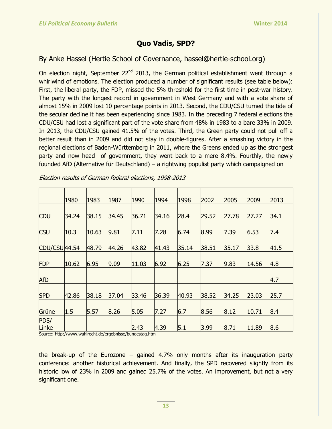# **Quo Vadis, SPD?**

# By Anke Hassel (Hertie School of Governance, hassel@hertie-school.org)

On election night, September 22<sup>nd</sup> 2013, the German political establishment went through a whirlwind of emotions. The election produced a number of significant results (see table below): First, the liberal party, the FDP, missed the 5% threshold for the first time in post-war history. The party with the longest record in government in West Germany and with a vote share of almost 15% in 2009 lost 10 percentage points in 2013. Second, the CDU/CSU turned the tide of the secular decline it has been experiencing since 1983. In the preceding 7 federal elections the CDU/CSU had lost a significant part of the vote share from 48% in 1983 to a bare 33% in 2009. In 2013, the CDU/CSU gained 41.5% of the votes. Third, the Green party could not pull off a better result than in 2009 and did not stay in double-figures. After a smashing victory in the regional elections of Baden-Württemberg in 2011, where the Greens ended up as the strongest party and now head of government, they went back to a mere 8.4%. Fourthly, the newly founded AfD (Alternative für Deutschland) – a rightwing populist party which campaigned on

|               | 1980  | 1983  | 1987  | 1990  | 1994  | 1998  | 2002  | 2005  | 2009  | 2013 |
|---------------|-------|-------|-------|-------|-------|-------|-------|-------|-------|------|
| <b>CDU</b>    | 34.24 | 38.15 | 34.45 | 36.71 | 34.16 | 28.4  | 29.52 | 27.78 | 27.27 | 34.1 |
| <b>CSU</b>    | 10.3  | 10.63 | 9.81  | 7.11  | 7.28  | 6.74  | 8.99  | 7.39  | 6.53  | 7.4  |
| CDU/CSU44.54  |       | 48.79 | 44.26 | 43.82 | 41.43 | 35.14 | 38.51 | 35.17 | 33.8  | 41.5 |
| <b>FDP</b>    | 10.62 | 6.95  | 9.09  | 11.03 | 6.92  | 6.25  | 7.37  | 9.83  | 14.56 | 4.8  |
| <b>AfD</b>    |       |       |       |       |       |       |       |       |       | 4.7  |
| <b>SPD</b>    | 42.86 | 38.18 | 37.04 | 33.46 | 36.39 | 40.93 | 38.52 | 34.25 | 23.03 | 25.7 |
| Grüne         | 1.5   | 5.57  | 8.26  | 5.05  | 7.27  | 6.7   | 8.56  | 8.12  | 10.71 | 8.4  |
| PDS/<br>Linke |       |       |       | 2.43  | 4.39  | 5.1   | 3.99  | 8.71  | 11.89 | 8.6  |

Election results of German federal elections, 1998-2013

Source: http://www.wahlrecht.de/ergebnisse/bundestag.htm

the break-up of the Eurozone – gained 4.7% only months after its inauguration party conference: another historical achievement. And finally, the SPD recovered slightly from its historic low of 23% in 2009 and gained 25.7% of the votes. An improvement, but not a very significant one.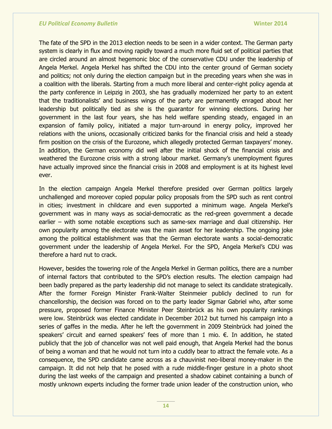The fate of the SPD in the 2013 election needs to be seen in a wider context. The German party system is clearly in flux and moving rapidly toward a much more fluid set of political parties that are circled around an almost hegemonic bloc of the conservative CDU under the leadership of Angela Merkel. Angela Merkel has shifted the CDU into the center ground of German society and politics; not only during the election campaign but in the preceding years when she was in a coalition with the liberals. Starting from a much more liberal and center-right policy agenda at the party conference in Leipzig in 2003, she has gradually modernized her party to an extent that the traditionalists" and business wings of the party are permanently enraged about her leadership but politically tied as she is the guarantor for winning elections. During her government in the last four years, she has held welfare spending steady, engaged in an expansion of family policy, initiated a major turn-around in energy policy, improved her relations with the unions, occasionally criticized banks for the financial crisis and held a steady firm position on the crisis of the Eurozone, which allegedly protected German taxpayers' money. In addition, the German economy did well after the initial shock of the financial crisis and weathered the Eurozone crisis with a strong labour market. Germany"s unemployment figures have actually improved since the financial crisis in 2008 and employment is at its highest level ever.

In the election campaign Angela Merkel therefore presided over German politics largely unchallenged and moreover copied popular policy proposals from the SPD such as rent control in cities; investment in childcare and even supported a minimum wage. Angela Merkel"s government was in many ways as social-democratic as the red-green government a decade earlier – with some notable exceptions such as same-sex marriage and dual citizenship. Her own popularity among the electorate was the main asset for her leadership. The ongoing joke among the political establishment was that the German electorate wants a social-democratic government under the leadership of Angela Merkel. For the SPD, Angela Merkel"s CDU was therefore a hard nut to crack.

However, besides the towering role of the Angela Merkel in German politics, there are a number of internal factors that contributed to the SPD"s election results. The election campaign had been badly prepared as the party leadership did not manage to select its candidate strategically. After the former Foreign Minister Frank-Walter Steinmeier publicly declined to run for chancellorship, the decision was forced on to the party leader Sigmar Gabriel who, after some pressure, proposed former Finance Minister Peer Steinbrück as his own popularity rankings were low. Steinbrück was elected candidate in December 2012 but turned his campaign into a series of gaffes in the media. After he left the government in 2009 Steinbrück had joined the speakers' circuit and earned speakers' fees of more than 1 mio.  $\epsilon$ . In addition, he stated publicly that the job of chancellor was not well paid enough, that Angela Merkel had the bonus of being a woman and that he would not turn into a cuddly bear to attract the female vote. As a consequence, the SPD candidate came across as a chauvinist neo-liberal money-maker in the campaign. It did not help that he posed with a rude middle-finger gesture in a photo shoot during the last weeks of the campaign and presented a shadow cabinet containing a bunch of mostly unknown experts including the former trade union leader of the construction union, who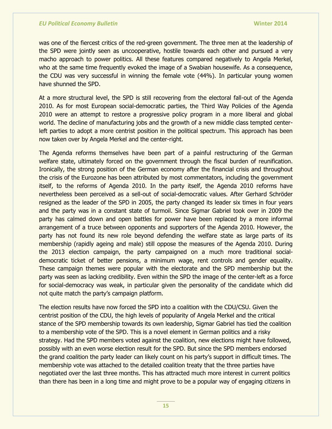was one of the fiercest critics of the red-green government. The three men at the leadership of the SPD were jointly seen as uncooperative, hostile towards each other and pursued a very macho approach to power politics. All these features compared negatively to Angela Merkel, who at the same time frequently evoked the image of a Swabian housewife. As a consequence, the CDU was very successful in winning the female vote (44%). In particular young women have shunned the SPD.

At a more structural level, the SPD is still recovering from the electoral fall-out of the Agenda 2010. As for most European social-democratic parties, the Third Way Policies of the Agenda 2010 were an attempt to restore a progressive policy program in a more liberal and global world. The decline of manufacturing jobs and the growth of a new middle class tempted centerleft parties to adopt a more centrist position in the political spectrum. This approach has been now taken over by Angela Merkel and the center-right.

The Agenda reforms themselves have been part of a painful restructuring of the German welfare state, ultimately forced on the government through the fiscal burden of reunification. Ironically, the strong position of the German economy after the financial crisis and throughout the crisis of the Eurozone has been attributed by most commentators, including the government itself, to the reforms of Agenda 2010. In the party itself, the Agenda 2010 reforms have nevertheless been perceived as a sell-out of social-democratic values. After Gerhard Schröder resigned as the leader of the SPD in 2005, the party changed its leader six times in four years and the party was in a constant state of turmoil. Since Sigmar Gabriel took over in 2009 the party has calmed down and open battles for power have been replaced by a more informal arrangement of a truce between opponents and supporters of the Agenda 2010. However, the party has not found its new role beyond defending the welfare state as large parts of its membership (rapidly ageing and male) still oppose the measures of the Agenda 2010. During the 2013 election campaign, the party campaigned on a much more traditional socialdemocratic ticket of better pensions, a minimum wage, rent controls and gender equality. These campaign themes were popular with the electorate and the SPD membership but the party was seen as lacking credibility. Even within the SPD the image of the center-left as a force for social-democracy was weak, in particular given the personality of the candidate which did not quite match the party's campaign platform.

The election results have now forced the SPD into a coalition with the CDU/CSU. Given the centrist position of the CDU, the high levels of popularity of Angela Merkel and the critical stance of the SPD membership towards its own leadership, Sigmar Gabriel has tied the coalition to a membership vote of the SPD. This is a novel element in German politics and a risky strategy. Had the SPD members voted against the coalition, new elections might have followed, possibly with an even worse election result for the SPD. But since the SPD members endorsed the grand coalition the party leader can likely count on his party"s support in difficult times. The membership vote was attached to the detailed coalition treaty that the three parties have negotiated over the last three months. This has attracted much more interest in current politics than there has been in a long time and might prove to be a popular way of engaging citizens in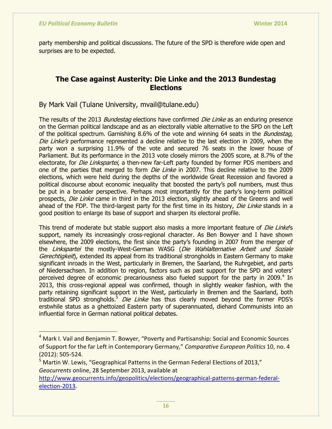party membership and political discussions. The future of the SPD is therefore wide open and surprises are to be expected.

# **The Case against Austerity: Die Linke and the 2013 Bundestag Elections**

By Mark Vail (Tulane University, mvail@tulane.edu)

The results of the 2013 *Bundestag* elections have confirmed *Die Linke* as an enduring presence on the German political landscape and as an electorally viable alternative to the SPD on the Left of the political spectrum. Garnishing 8.6% of the vote and winning 64 seats in the *Bundestag*, Die Linke's performance represented a decline relative to the last election in 2009, when the party won a surprising 11.9% of the vote and secured 76 seats in the lower house of Parliament. But its performance in the 2013 vote closely mirrors the 2005 score, at 8.7% of the electorate, for *Die Linkspartei*, a then-new far-Left party founded by former PDS members and one of the parties that merged to form *Die Linke* in 2007. This decline relative to the 2009 elections, which were held during the depths of the worldwide Great Recession and favored a political discourse about economic inequality that boosted the party"s poll numbers, must thus be put in a broader perspective. Perhaps most importantly for the party"s long-term political prospects, Die Linke came in third in the 2013 election, slightly ahead of the Greens and well ahead of the FDP. The third-largest party for the first time in its history, Die Linke stands in a good position to enlarge its base of support and sharpen its electoral profile.

This trend of moderate but stable support also masks a more important feature of *Die Linke*'s support, namely its increasingly cross-regional character. As Ben Bowyer and I have shown elsewhere, the 2009 elections, the first since the party"s founding in 2007 from the merger of the Linkspartei the mostly-West-German WASG (Die Wahlalternative Arbeit und Soziale Gerechtigkeit), extended its appeal from its traditional strongholds in Eastern Germany to make significant inroads in the West, particularly in Bremen, the Saarland, the Ruhrgebiet, and parts of Niedersachsen. In addition to region, factors such as past support for the SPD and voters" perceived degree of economic precariousness also fueled support for the party in 2009.<sup>4</sup> In 2013, this cross-regional appeal was confirmed, though in slightly weaker fashion, with the party retaining significant support in the West, particularly in Bremen and the Saarland, both traditional SPD strongholds.<sup>5</sup> Die Linke has thus clearly moved beyond the former PDS's erstwhile status as a ghettoized Eastern party of superannuated, diehard Communists into an influential force in German national political debates.

<sup>&</sup>lt;sup>4</sup> Mark I. Vail and Benjamin T. Bowyer, "Poverty and Partisanship: Social and Economic Sources of Support for the far Left in Contemporary Germany," *Comparative European Politics* 10, no. 4 (2012): 505-524.

<sup>&</sup>lt;sup>5</sup> Martin W. Lewis, "Geographical Patterns in the German Federal Elections of 2013," *Geocurrents* online, 28 September 2013, available at

[http://www.geocurrents.info/geopolitics/elections/geographical-patterns-german-federal](http://www.geocurrents.info/geopolitics/elections/geographical-patterns-german-federal-election-2013)[election-2013.](http://www.geocurrents.info/geopolitics/elections/geographical-patterns-german-federal-election-2013)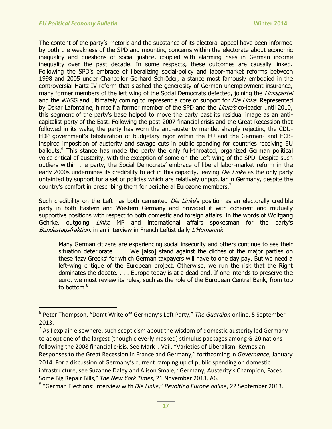$\overline{a}$ 

The content of the party"s rhetoric and the substance of its electoral appeal have been informed by both the weakness of the SPD and mounting concerns within the electorate about economic inequality and questions of social justice, coupled with alarming rises in German income inequality over the past decade. In some respects, these outcomes are causally linked. Following the SPD's embrace of liberalizing social-policy and labor-market reforms between 1998 and 2005 under Chancellor Gerhard Schröder, a stance most famously embodied in the controversial Hartz IV reform that slashed the generosity of German unemployment insurance, many former members of the left wing of the Social Democrats defected, joining the Linkspartei and the WASG and ultimately coming to represent a core of support for *Die Linke*. Represented by Oskar Lafontaine, himself a former member of the SPD and the *Linke's* co-leader until 2010, this segment of the party"s base helped to move the party past its residual image as an anticapitalist party of the East. Following the post-2007 financial crisis and the Great Recession that followed in its wake, the party has worn the anti-austerity mantle, sharply rejecting the CDU-FDP government"s fetishization of budgetary rigor within the EU and the German- and ECBinspired imposition of austerity and savage cuts in public spending for countries receiving EU bailouts.<sup>6</sup> This stance has made the party the only full-throated, organized German political voice critical of austerity, with the exception of some on the Left wing of the SPD. Despite such outliers within the party, the Social Democrats" embrace of liberal labor-market reform in the early 2000s undermines its credibility to act in this capacity, leaving *Die Linke* as the only party untainted by support for a set of policies which are relatively unpopular in Germany, despite the country's comfort in prescribing them for peripheral Eurozone members.<sup>7</sup>

Such credibility on the Left has both cemented *Die Linke*'s position as an electorally credible party in both Eastern and Western Germany and provided it with coherent and mutually supportive positions with respect to both domestic and foreign affairs. In the words of Wolfgang Gehrke, outgoing *Linke* MP and international affairs spokesman for the party's Bundestagsfraktion, in an interview in French Leftist daily L'Humanité.

Many German citizens are experiencing social insecurity and others continue to see their situation deteriorate. . . . We [also] stand against the clichés of the major parties on these "lazy Greeks" for which German taxpayers will have to one day pay. But we need a left-wing critique of the European project. Otherwise, we run the risk that the Right dominates the debate. . . . Europe today is at a dead end. If one intends to preserve the euro, we must review its rules, such as the role of the European Central Bank, from top to bottom.<sup>8</sup>

<sup>6</sup> Peter Thompson, "Don't Write off Germany's Left Party," *The Guardian* online, 5 September 2013.

 $<sup>7</sup>$  As I explain elsewhere, such scepticism about the wisdom of domestic austerity led Germany</sup> to adopt one of the largest (though cleverly masked) stimulus packages among G-20 nations following the 2008 financial crisis. See Mark I. Vail, "Varieties of Liberalism: Keynesian Responses to the Great Recession in France and Germany," forthcoming in *Governance*, January 2014. For a discussion of Germany's current ramping up of public spending on domestic infrastructure, see Suzanne Daley and Alison Smale, "Germany, Austerity's Champion, Faces Some Big Repair Bills," *The New York Times*, 21 November 2013, A6.

<sup>8</sup> "German Elections: Interview with *Die Linke*," *Revolting Europe online*, 22 September 2013.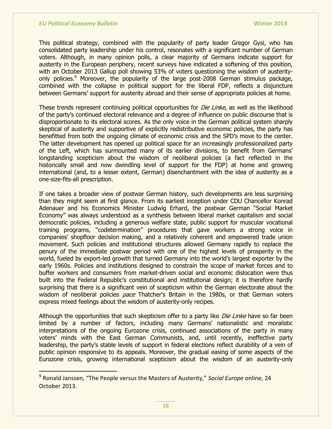This political strategy, combined with the popularity of party leader Gregor Gysi, who has consolidated party leadership under his control, resonates with a significant number of German voters. Although, in many opinion polls, a clear majority of Germans indicate support for austerity in the European periphery, recent surveys have indicated a softening of this position, with an October 2013 Gallup poll showing 53% of voters questioning the wisdom of austerityonly policies.<sup>9</sup> Moreover, the popularity of the large post-2008 German stimulus package, combined with the collapse in political support for the liberal FDP, reflects a disjuncture between Germans' support for austerity abroad and their sense of appropriate policies at home.

These trends represent continuing political opportunities for *Die Linke*, as well as the likelihood of the party"s continued electoral relevance and a degree of influence on public discourse that is disproportionate to its electoral scores. As the only voice in the German political system sharply skeptical of austerity and supportive of explicitly redistributive economic policies, the party has benefitted from both the ongoing climate of economic crisis and the SPD"s move to the center. The latter development has opened up political space for an increasingly professionalized party of the Left, which has surmounted many of its earlier divisions, to benefit from Germans" longstanding scepticism about the wisdom of neoliberal policies (a fact reflected in the historically small and now dwindling level of support for the FDP) at home and growing international (and, to a lesser extent, German) disenchantment with the idea of austerity as a one-size-fits-all prescription.

If one takes a broader view of postwar German history, such developments are less surprising than they might seem at first glance. From its earliest inception under CDU Chancellor Konrad Adenauer and his Economics Minister Ludwig Erhard, the postwar German "Social Market Economy" was always understood as a synthesis between liberal market capitalism and social democratic policies, including a generous welfare state, public support for muscular vocational training programs, "codetermination" procedures that gave workers a strong voice in companies" shopfloor decision making, and a relatively coherent and empowered trade union movement. Such policies and institutional structures allowed Germany rapidly to replace the penury of the immediate postwar period with one of the highest levels of prosperity in the world, fueled by export-led growth that turned Germany into the world"s largest exporter by the early 1960s. Policies and institutions designed to constrain the scope of market forces and to buffer workers and consumers from market-driven social and economic dislocation were thus built into the Federal Republic's constitutional and institutional design; it is therefore hardly surprising that there is a significant vein of scepticism within the German electorate about the wisdom of neoliberal policies pace Thatcher's Britain in the 1980s, or that German voters express mixed feelings about the wisdom of austerity-only recipes.

Although the opportunities that such skepticism offer to a party like *Die Linke* have so far been limited by a number of factors, including many Germans' nationalistic and moralistic interpretations of the ongoing Eurozone crisis, continued associations of the party in many voters" minds with the East German Communists, and, until recently, ineffective party leadership, the party's stable levels of support in federal elections reflect durability of a vein of public opinion responsive to its appeals. Moreover, the gradual easing of some aspects of the Eurozone crisis, growing international scepticism about the wisdom of an austerity-only

<sup>9</sup> Ronald Janssen, "The People versus the Masters of Austerity," *Social Europe* online, 24 October 2013.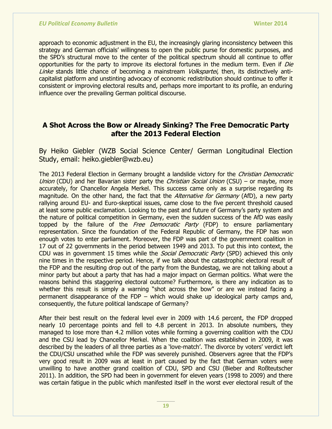approach to economic adjustment in the EU, the increasingly glaring inconsistency between this strategy and German officials' willingness to open the public purse for domestic purposes, and the SPD"s structural move to the center of the political spectrum should all continue to offer opportunities for the party to improve its electoral fortunes in the medium term. Even if Die Linke stands little chance of becoming a mainstream *Volkspartei*, then, its distinctively anticapitalist platform and unstinting advocacy of economic redistribution should continue to offer it consistent or improving electoral results and, perhaps more important to its profile, an enduring influence over the prevailing German political discourse.

# **A Shot Across the Bow or Already Sinking? The Free Democratic Party after the 2013 Federal Election**

By Heiko Giebler (WZB Social Science Center/ German Longitudinal Election Study, email: heiko.giebler@wzb.eu)

The 2013 Federal Election in Germany brought a landslide victory for the Christian Democratic Union (CDU) and her Bavarian sister party the *Christian Social Union* (CSU) – or maybe, more accurately, for Chancellor Angela Merkel. This success came only as a surprise regarding its magnitude. On the other hand, the fact that the *Alternative for Germany* (AfD), a new party rallying around EU- and Euro-skeptical issues, came close to the five percent threshold caused at least some public exclamation. Looking to the past and future of Germany's party system and the nature of political competition in Germany, even the sudden success of the AfD was easily topped by the failure of the *Free Democratic Party* (FDP) to ensure parliamentary representation. Since the foundation of the Federal Republic of Germany, the FDP has won enough votes to enter parliament. Moreover, the FDP was part of the government coalition in 17 out of 22 governments in the period between 1949 and 2013. To put this into context, the CDU was in government 15 times while the *Social Democratic Party* (SPD) achieved this only nine times in the respective period. Hence, if we talk about the catastrophic electoral result of the FDP and the resulting drop out of the party from the Bundestag, we are not talking about a minor party but about a party that has had a major impact on German politics. What were the reasons behind this staggering electoral outcome? Furthermore, is there any indication as to whether this result is simply a warning "shot across the bow" or are we instead facing a permanent disappearance of the FDP – which would shake up ideological party camps and, consequently, the future political landscape of Germany?

After their best result on the federal level ever in 2009 with 14.6 percent, the FDP dropped nearly 10 percentage points and fell to 4.8 percent in 2013. In absolute numbers, they managed to lose more than 4.2 million votes while forming a governing coalition with the CDU and the CSU lead by Chancellor Merkel. When the coalition was established in 2009, it was described by the leaders of all three parties as a 'love-match'. The divorce by voters' verdict left the CDU/CSU unscathed while the FDP was severely punished. Observers agree that the FDP"s very good result in 2009 was at least in part caused by the fact that German voters were unwilling to have another grand coalition of CDU, SPD and CSU (Bieber and Roßteutscher 2011). In addition, the SPD had been in government for eleven years (1998 to 2009) and there was certain fatigue in the public which manifested itself in the worst ever electoral result of the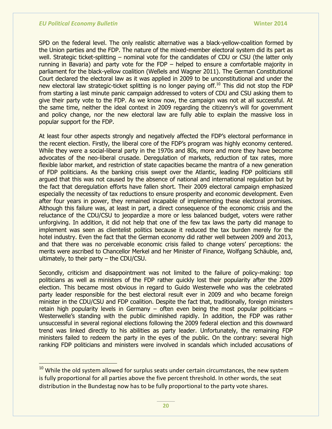SPD on the federal level. The only realistic alternative was a black-yellow-coalition formed by the Union parties and the FDP. The nature of the mixed-member electoral system did its part as well. Strategic ticket-splitting – nominal vote for the candidates of CDU or CSU (the latter only running in Bavaria) and party vote for the FDP – helped to ensure a comfortable majority in parliament for the black-yellow coalition (Weßels and Wagner 2011). The German Constitutional Court declared the electoral law as it was applied in 2009 to be unconstitutional and under the new electoral law strategic-ticket splitting is no longer paying off.<sup>10</sup> This did not stop the FDP from starting a last minute panic campaign addressed to voters of CDU and CSU asking them to give their party vote to the FDP. As we know now, the campaign was not at all successful. At the same time, neither the ideal context in 2009 regarding the citizenry"s will for government and policy change, nor the new electoral law are fully able to explain the massive loss in popular support for the FDP.

At least four other aspects strongly and negatively affected the FDP"s electoral performance in the recent election. Firstly, the liberal core of the FDP"s program was highly economy centered. While they were a social-liberal party in the 1970s and 80s, more and more they have become advocates of the neo-liberal crusade. Deregulation of markets, reduction of tax rates, more flexible labor market, and restriction of state capacities became the mantra of a new generation of FDP politicians. As the banking crisis swept over the Atlantic, leading FDP politicians still argued that this was not caused by the absence of national and international regulation but by the fact that deregulation efforts have fallen short. Their 2009 electoral campaign emphasized especially the necessity of tax reductions to ensure prosperity and economic development. Even after four years in power, they remained incapable of implementing these electoral promises. Although this failure was, at least in part, a direct consequence of the economic crisis and the reluctance of the CDU/CSU to jeopardize a more or less balanced budget, voters were rather unforgiving. In addition, it did not help that one of the few tax laws the party did manage to implement was seen as clientelist politics because it reduced the tax burden merely for the hotel industry. Even the fact that the German economy did rather well between 2009 and 2013, and that there was no perceivable economic crisis failed to change voters" perceptions: the merits were ascribed to Chancellor Merkel and her Minister of Finance, Wolfgang Schäuble, and, ultimately, to their party – the CDU/CSU.

Secondly, criticism and disappointment was not limited to the failure of policy-making: top politicians as well as ministers of the FDP rather quickly lost their popularity after the 2009 election. This became most obvious in regard to Guido Westerwelle who was the celebrated party leader responsible for the best electoral result ever in 2009 and who became foreign minister in the CDU/CSU and FDP coalition. Despite the fact that, traditionally, foreign ministers retain high popularity levels in Germany – often even being the most popular politicians – Westerwelle"s standing with the public diminished rapidly. In addition, the FDP was rather unsuccessful in several regional elections following the 2009 federal election and this downward trend was linked directly to his abilities as party leader. Unfortunately, the remaining FDP ministers failed to redeem the party in the eyes of the public. On the contrary: several high ranking FDP politicians and ministers were involved in scandals which included accusations of

<sup>&</sup>lt;sup>10</sup> While the old system allowed for surplus seats under certain circumstances, the new system is fully proportional for all parties above the five percent threshold. In other words, the seat distribution in the Bundestag now has to be fully proportional to the party vote shares.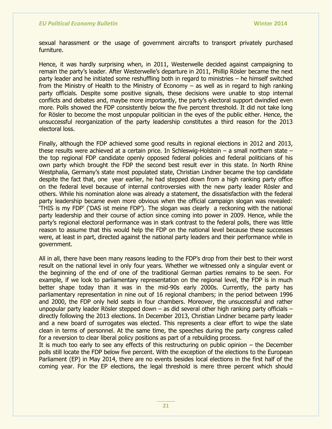sexual harassment or the usage of government aircrafts to transport privately purchased furniture.

Hence, it was hardly surprising when, in 2011, Westerwelle decided against campaigning to remain the party's leader. After Westerwelle's departure in 2011, Phillip Rösler became the next party leader and he initiated some reshuffling both in regard to ministries – he himself switched from the Ministry of Health to the Ministry of Economy – as well as in regard to high ranking party officials. Despite some positive signals, these decisions were unable to stop internal conflicts and debates and, maybe more importantly, the party's electoral support dwindled even more. Polls showed the FDP consistently below the five percent threshold. It did not take long for Rösler to become the most unpopular politician in the eyes of the public either. Hence, the unsuccessful reorganization of the party leadership constitutes a third reason for the 2013 electoral loss.

Finally, although the FDP achieved some good results in regional elections in 2012 and 2013, these results were achieved at a certain price. In Schleswig-Holstein – a small northern state – the top regional FDP candidate openly opposed federal policies and federal politicians of his own party which brought the FDP the second best result ever in this state. In North Rhine Westphalia, Germany's state most populated state, Christian Lindner became the top candidate despite the fact that, one year earlier, he had stepped down from a high ranking party office on the federal level because of internal controversies with the new party leader Rösler and others. While his nomination alone was already a statement, the dissatisfaction with the federal party leadership became even more obvious when the official campaign slogan was revealed: "THIS is my FDP" ("DAS ist meine FDP"). The slogan was clearly a reckoning with the national party leadership and their course of action since coming into power in 2009. Hence, while the party"s regional electoral performance was in stark contrast to the federal polls, there was little reason to assume that this would help the FDP on the national level because these successes were, at least in part, directed against the national party leaders and their performance while in government.

All in all, there have been many reasons leading to the FDP"s drop from their best to their worst result on the national level in only four years. Whether we witnessed only a singular event or the beginning of the end of one of the traditional German parties remains to be seen. For example, if we look to parliamentary representation on the regional level, the FDP is in much better shape today than it was in the mid-90s early 2000s. Currently, the party has parliamentary representation in nine out of 16 regional chambers; in the period between 1996 and 2000, the FDP only held seats in four chambers. Moreover, the unsuccessful and rather unpopular party leader Rösler stepped down – as did several other high ranking party officials – directly following the 2013 elections. In December 2013, Christian Lindner became party leader and a new board of surrogates was elected. This represents a clear effort to wipe the slate clean in terms of personnel. At the same time, the speeches during the party congress called for a reversion to clear liberal policy positions as part of a rebuilding process.

It is much too early to see any effects of this restructuring on public opinion – the December polls still locate the FDP below five percent. With the exception of the elections to the European Parliament (EP) in May 2014, there are no events besides local elections in the first half of the coming year. For the EP elections, the legal threshold is mere three percent which should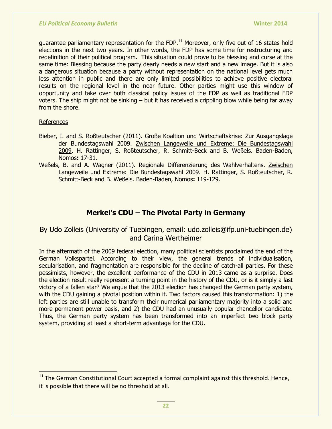guarantee parliamentary representation for the FDP. $<sup>11</sup>$  Moreover, only five out of 16 states hold</sup> elections in the next two years. In other words, the FDP has some time for restructuring and redefinition of their political program. This situation could prove to be blessing and curse at the same time: Blessing because the party dearly needs a new start and a new image. But it is also a dangerous situation because a party without representation on the national level gets much less attention in public and there are only limited possibilities to achieve positive electoral results on the regional level in the near future. Other parties might use this window of opportunity and take over both classical policy issues of the FDP as well as traditional FDP voters. The ship might not be sinking – but it has received a crippling blow while being far away from the shore.

## References

- Bieber, I. and S. Roßteutscher (2011). Große Koaltion und Wirtschaftskrise: Zur Ausgangslage der Bundestagswahl 2009. Zwischen Langeweile und Extreme: Die Bundestagswahl 2009. H. Rattinger, S. Roßteutscher, R. Schmitt-Beck and B. Weßels. Baden-Baden, Nomos**:** 17-31.
- Weßels, B. and A. Wagner (2011). Regionale Differenzierung des Wahlverhaltens. Zwischen Langeweile und Extreme: Die Bundestagswahl 2009. H. Rattinger, S. Roßteutscher, R. Schmitt-Beck and B. Weßels. Baden-Baden, Nomos**:** 119-129.

# **Merkel's CDU – The Pivotal Party in Germany**

# By Udo Zolleis (University of Tuebingen, email: udo.zolleis@ifp.uni-tuebingen.de) and Carina Wertheimer

In the aftermath of the 2009 federal election, many political scientists proclaimed the end of the German Volkspartei. According to their view, the general trends of individualisation, secularisation, and fragmentation are responsible for the decline of catch-all parties. For these pessimists, however, the excellent performance of the CDU in 2013 came as a surprise. Does the election result really represent a turning point in the history of the CDU, or is it simply a last victory of a fallen star? We argue that the 2013 election has changed the German party system, with the CDU gaining a pivotal position within it. Two factors caused this transformation: 1) the left parties are still unable to transform their numerical parliamentary majority into a solid and more permanent power basis, and 2) the CDU had an unusually popular chancellor candidate. Thus, the German party system has been transformed into an imperfect two block party system, providing at least a short-term advantage for the CDU.

<sup>&</sup>lt;sup>11</sup> The German Constitutional Court accepted a formal complaint against this threshold. Hence, it is possible that there will be no threshold at all.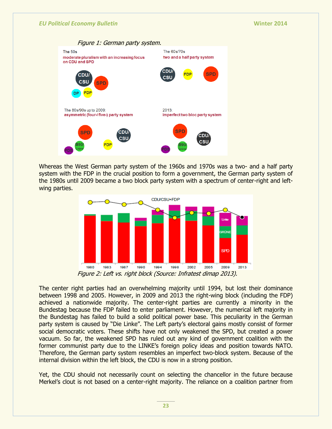

Whereas the West German party system of the 1960s and 1970s was a two- and a half party system with the FDP in the crucial position to form a government, the German party system of the 1980s until 2009 became a two block party system with a spectrum of center-right and leftwing parties.



Figure 2: Left vs. right block (Source: Infratest dimap 2013).

The center right parties had an overwhelming majority until 1994, but lost their dominance between 1998 and 2005. However, in 2009 and 2013 the right-wing block (including the FDP) achieved a nationwide majority. The center-right parties are currently a minority in the Bundestag because the FDP failed to enter parliament. However, the numerical left majority in the Bundestag has failed to build a solid political power base. This peculiarity in the German party system is caused by "Die Linke". The Left party"s electoral gains mostly consist of former social democratic voters. These shifts have not only weakened the SPD, but created a power vacuum. So far, the weakened SPD has ruled out any kind of government coalition with the former communist party due to the LINKE's foreign policy ideas and position towards NATO. Therefore, the German party system resembles an imperfect two-block system. Because of the internal division within the left block, the CDU is now in a strong position.

Yet, the CDU should not necessarily count on selecting the chancellor in the future because Merkel"s clout is not based on a center-right majority. The reliance on a coalition partner from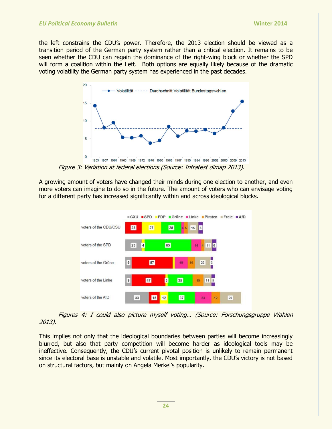the left constrains the CDU"s power. Therefore, the 2013 election should be viewed as a transition period of the German party system rather than a critical election. It remains to be seen whether the CDU can regain the dominance of the right-wing block or whether the SPD will form a coalition within the Left. Both options are equally likely because of the dramatic voting volatility the German party system has experienced in the past decades.



Figure 3: Variation at federal elections (Source: Infratest dimap 2013).

A growing amount of voters have changed their minds during one election to another, and even more voters can imagine to do so in the future. The amount of voters who can envisage voting for a different party has increased significantly within and across ideological blocks.



Figures 4: I could also picture myself voting… (Source: Forschungsgruppe Wahlen 2013).

This implies not only that the ideological boundaries between parties will become increasingly blurred, but also that party competition will become harder as ideological tools may be ineffective. Consequently, the CDU's current pivotal position is unlikely to remain permanent since its electoral base is unstable and volatile. Most importantly, the CDU's victory is not based on structural factors, but mainly on Angela Merkel"s popularity.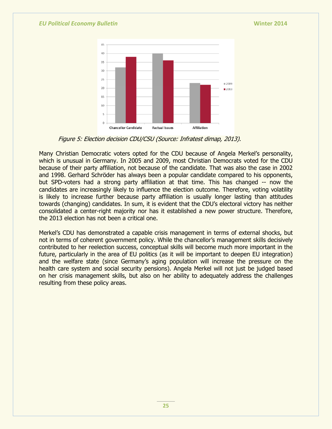

Figure 5: Election decision CDU/CSU (Source: Infratest dimap, 2013).

Many Christian Democratic voters opted for the CDU because of Angela Merkel"s personality, which is unusual in Germany. In 2005 and 2009, most Christian Democrats voted for the CDU because of their party affiliation, not because of the candidate. That was also the case in 2002 and 1998. Gerhard Schröder has always been a popular candidate compared to his opponents, but SPD-voters had a strong party affiliation at that time. This has changed -- now the candidates are increasingly likely to influence the election outcome. Therefore, voting volatility is likely to increase further because party affiliation is usually longer lasting than attitudes towards (changing) candidates. In sum, it is evident that the CDU"s electoral victory has neither consolidated a center-right majority nor has it established a new power structure. Therefore, the 2013 election has not been a critical one.

Merkel"s CDU has demonstrated a capable crisis management in terms of external shocks, but not in terms of coherent government policy. While the chancellor's management skills decisively contributed to her reelection success, conceptual skills will become much more important in the future, particularly in the area of EU politics (as it will be important to deepen EU integration) and the welfare state (since Germany"s aging population will increase the pressure on the health care system and social security pensions). Angela Merkel will not just be judged based on her crisis management skills, but also on her ability to adequately address the challenges resulting from these policy areas.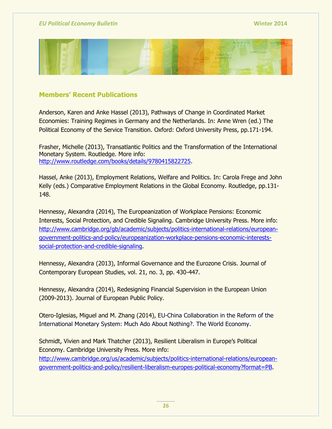

# **Members' Recent Publications**

Anderson, Karen and Anke Hassel (2013), Pathways of Change in Coordinated Market Economies: Training Regimes in Germany and the Netherlands. In: Anne Wren (ed.) The Political Economy of the Service Transition. Oxford: Oxford University Press, pp.171-194.

Frasher, Michelle (2013), Transatlantic Politics and the Transformation of the International Monetary System. Routledge. More info: [http://www.routledge.com/books/details/9780415822725.](http://www.routledge.com/books/details/9780415822725)

Hassel, Anke (2013), Employment Relations, Welfare and Politics. In: Carola Frege and John Kelly (eds.) Comparative Employment Relations in the Global Economy. Routledge, pp.131- 148.

Hennessy, Alexandra (2014), The Europeanization of Workplace Pensions: Economic Interests, Social Protection, and Credible Signaling. Cambridge University Press. More info: [http://www.cambridge.org/gb/academic/subjects/politics-international-relations/european](http://www.cambridge.org/gb/academic/subjects/politics-international-relations/european-government-politics-and-policy/europeanization-workplace-pensions-economic-interests-social-protection-and-credible-signaling)[government-politics-and-policy/europeanization-workplace-pensions-economic-interests](http://www.cambridge.org/gb/academic/subjects/politics-international-relations/european-government-politics-and-policy/europeanization-workplace-pensions-economic-interests-social-protection-and-credible-signaling)[social-protection-and-credible-signaling.](http://www.cambridge.org/gb/academic/subjects/politics-international-relations/european-government-politics-and-policy/europeanization-workplace-pensions-economic-interests-social-protection-and-credible-signaling)

Hennessy, Alexandra (2013), Informal Governance and the Eurozone Crisis. Journal of Contemporary European Studies, vol. 21, no. 3, pp. 430-447.

Hennessy, Alexandra (2014), Redesigning Financial Supervision in the European Union (2009-2013). Journal of European Public Policy.

Otero-Iglesias, Miguel and M. Zhang (2014), EU-China Collaboration in the Reform of the International Monetary System: Much Ado About Nothing?. The World Economy.

Schmidt, Vivien and Mark Thatcher (2013), Resilient Liberalism in Europe"s Political Economy. Cambridge University Press. More info: [http://www.cambridge.org/us/academic/subjects/politics-international-relations/european](http://www.cambridge.org/us/academic/subjects/politics-international-relations/european-government-politics-and-policy/resilient-liberalism-europes-political-economy?format=PB)[government-politics-and-policy/resilient-liberalism-europes-political-economy?format=PB.](http://www.cambridge.org/us/academic/subjects/politics-international-relations/european-government-politics-and-policy/resilient-liberalism-europes-political-economy?format=PB)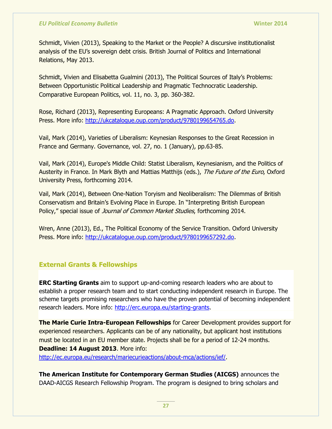Schmidt, Vivien (2013), Speaking to the Market or the People? A discursive institutionalist analysis of the EU"s sovereign debt crisis. British Journal of Politics and International Relations, May 2013.

Schmidt, Vivien and Elisabetta Gualmini (2013), The Political Sources of Italy"s Problems: Between Opportunistic Political Leadership and Pragmatic Technocratic Leadership. Comparative European Politics, vol. 11, no. 3, pp. 360-382.

Rose, Richard (2013), Representing Europeans: A Pragmatic Approach. Oxford University Press. More info: [http://ukcatalogue.oup.com/product/9780199654765.do.](http://ukcatalogue.oup.com/product/9780199654765.do)

Vail, Mark (2014), Varieties of Liberalism: Keynesian Responses to the Great Recession in France and Germany. Governance, vol. 27, no. 1 (January), pp.63-85.

Vail, Mark (2014), Europe's Middle Child: Statist Liberalism, Keynesianism, and the Politics of Austerity in France. In Mark Blyth and Mattias Matthijs (eds.), The Future of the Euro, Oxford University Press, forthcoming 2014.

Vail, Mark (2014), Between One-Nation Toryism and Neoliberalism: The Dilemmas of British Conservatism and Britain"s Evolving Place in Europe. In "Interpreting British European Policy," special issue of *Journal of Common Market Studies*, forthcoming 2014.

Wren, Anne (2013), Ed., The Political Economy of the Service Transition. Oxford University Press. More info: [http://ukcatalogue.oup.com/product/9780199657292.do.](http://ukcatalogue.oup.com/product/9780199657292.do)

## **External Grants & Fellowships**

**ERC Starting Grants** aim to support up-and-coming research leaders who are about to establish a proper research team and to start conducting independent research in Europe. The scheme targets promising researchers who have the proven potential of becoming independent research leaders. More info: [http://erc.europa.eu/starting-grants.](http://erc.europa.eu/starting-grants)

**The Marie Curie Intra-European Fellowships** for Career Development provides support for experienced researchers. Applicants can be of any nationality, but applicant host institutions must be located in an EU member state. Projects shall be for a period of 12-24 months. **Deadline: 14 August 2013**. More info: [http://ec.europa.eu/research/mariecurieactions/about-mca/actions/ief/.](http://ec.europa.eu/research/mariecurieactions/about-mca/actions/ief/)

**The American Institute for Contemporary German Studies (AICGS)** announces the DAAD-AICGS Research Fellowship Program. The program is designed to bring scholars and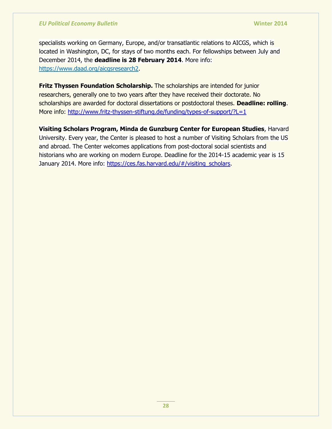specialists working on Germany, Europe, and/or transatlantic relations to AICGS, which is located in Washington, DC, for stays of two months each. For fellowships between July and December 2014, the **deadline is 28 February 2014**. More info: [https://www.daad.org/aicgsresearch2.](https://www.daad.org/aicgsresearch2)

**Fritz Thyssen Foundation Scholarship.** The scholarships are intended for junior researchers, generally one to two years after they have received their doctorate. No scholarships are awarded for doctoral dissertations or postdoctoral theses. **Deadline: rolling**. More info: <http://www.fritz-thyssen-stiftung.de/funding/types-of-support/?L=1>

**Visiting Scholars Program, Minda de Gunzburg Center for European Studies**, Harvard University. Every year, the Center is pleased to host a number of Visiting Scholars from the US and abroad. The Center welcomes applications from post-doctoral social scientists and historians who are working on modern Europe. Deadline for the 2014-15 academic year is 15 January 2014. More info: [https://ces.fas.harvard.edu/#/visiting\\_scholars.](https://ces.fas.harvard.edu/#/visiting_scholars)